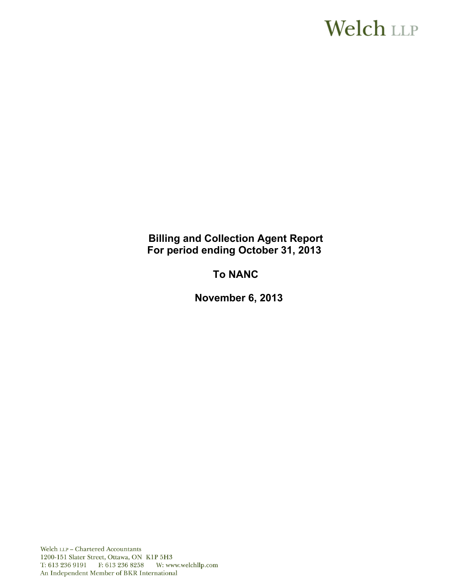# **Welch LLP**

# **Billing and Collection Agent Report For period ending October 31, 2013**

# **To NANC**

**November 6, 2013**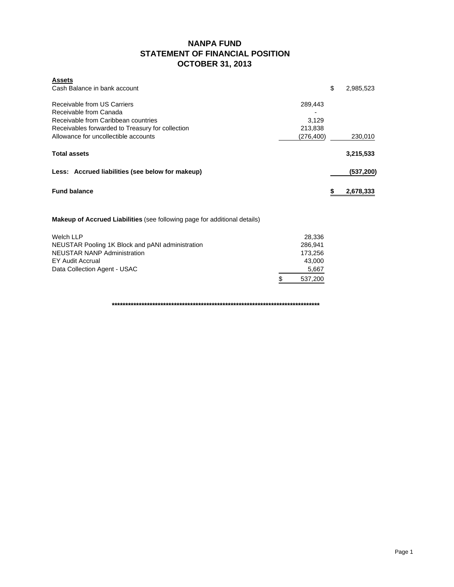### **NANPA FUND STATEMENT OF FINANCIAL POSITION OCTOBER 31, 2013**

| <b>Assets</b><br>Cash Balance in bank account                                                                                                                                            |                                           | \$ | 2,985,523 |
|------------------------------------------------------------------------------------------------------------------------------------------------------------------------------------------|-------------------------------------------|----|-----------|
| Receivable from US Carriers<br>Receivable from Canada<br>Receivable from Caribbean countries<br>Receivables forwarded to Treasury for collection<br>Allowance for uncollectible accounts | 289,443<br>3,129<br>213,838<br>(276, 400) |    | 230,010   |
| <b>Total assets</b>                                                                                                                                                                      |                                           |    | 3,215,533 |
| Less: Accrued liabilities (see below for makeup)                                                                                                                                         |                                           |    | (537,200) |
| <b>Fund balance</b>                                                                                                                                                                      |                                           | S  | 2,678,333 |

**Makeup of Accrued Liabilities** (see following page for additional details)

| Welch LLP                                        |   | 28.336  |
|--------------------------------------------------|---|---------|
| NEUSTAR Pooling 1K Block and pANI administration |   | 286.941 |
| <b>NEUSTAR NANP Administration</b>               |   | 173.256 |
| EY Audit Accrual                                 |   | 43.000  |
| Data Collection Agent - USAC                     |   | 5,667   |
|                                                  | S | 537.200 |

**\*\*\*\*\*\*\*\*\*\*\*\*\*\*\*\*\*\*\*\*\*\*\*\*\*\*\*\*\*\*\*\*\*\*\*\*\*\*\*\*\*\*\*\*\*\*\*\*\*\*\*\*\*\*\*\*\*\*\*\*\*\*\*\*\*\*\*\*\*\*\*\*\*\*\*\*\***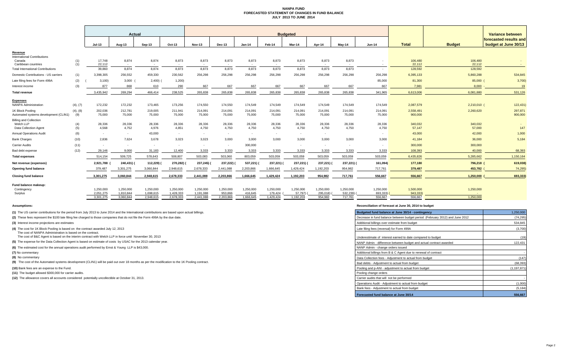#### **NANPA FUND FORECASTED STATEMENT OF CHANGES IN FUND BALANCE JULY 2013 TO JUNE 2014**

|                                                                     |                 |                        | Actual                 |                        |                          |                        |                      |                      |                      | <b>Budgeted</b>      |                       |                                   |                       |                       |                     | Variance between                               |
|---------------------------------------------------------------------|-----------------|------------------------|------------------------|------------------------|--------------------------|------------------------|----------------------|----------------------|----------------------|----------------------|-----------------------|-----------------------------------|-----------------------|-----------------------|---------------------|------------------------------------------------|
|                                                                     |                 | Jul-13                 | Aug-13                 | Sep-13                 | Oct-13                   | <b>Nov-13</b>          | Dec-13               | $Jan-14$             | Feb-14               | Mar-14               | Apr-14                | May-14                            | <b>Jun-14</b>         | <b>Total</b>          | <b>Budget</b>       | forecasted results and<br>budget at June 30/13 |
| Revenue<br><b>International Contributions</b>                       |                 |                        |                        |                        |                          |                        |                      |                      |                      |                      |                       |                                   |                       |                       |                     |                                                |
| Canada<br>Caribbean countries                                       | (1)<br>(1)      | 17,748<br>22,112       | 8,874<br>$\sim$        | 8,874<br>$\sim$        | 8,873<br>$\sim$          | 8,873                  | 8,873                | 8,873<br>. .         | 8,873<br>$\sim$      | 8,873                | 8,873                 | 8,873<br>$\overline{\phantom{a}}$ |                       | 106,480<br>22,112     | 106,480<br>22,112   |                                                |
| <b>Total International Contributions</b>                            |                 | 39,860                 | 8,874                  | 8,874                  | 8,873                    | 8,873                  | 8,873                | 8,873                | 8,873                | 8,873                | 8,873                 | 8,873                             |                       | 128,592               | 128,592             |                                                |
| Domestic Contributions - US carriers                                | (1)             | 3,398,305              | 256,552                | 459,330                | 230,562                  | 256,298                | 256,298              | 256,298              | 256,298              | 256,298              | 256,298               | 256,298                           | 256,298               | 6,395,133             | 5,860,288           | 534,845                                        |
| Late filing fees for Form 499A                                      | (2)             | 3,100                  | 3,000                  | $2,400$ ) (            | 1,200                    |                        |                      |                      |                      |                      |                       |                                   | 85,000                | 81,300                | 85,000 (            | 3,700                                          |
| Interest income                                                     | (3)             | 877                    | 868                    | 610                    | 290                      | 667                    | 667                  | 667                  | 667                  | 667                  | 667                   | 667                               | 667                   | 7,981                 | 8.000               | 19                                             |
| <b>Total revenue</b>                                                |                 | 3,435,942              | 269,294                | 466,414                | 238,525                  | 265,838                | 265,838              | 265,838              | 265,838              | 265,838              | 265,838               | 265,838                           | 341,965               | 6,613,006             | 6,081,880           | 531,126                                        |
| <b>Expenses</b><br>NANPA Administration                             | (4), (7)        | 172,232                | 172,232                | 173,465                | 173,256                  | 174,550                | 174,550              | 174,549              | 174,549              | 174,549              | 174,549               | 174,549                           | 174,549               | 2,087,579             | 2,210,010 (         | 122,431)                                       |
| 1K Block Pooling<br>Automated systems development (CLIN1)           | (4), (8)<br>(9) | 202,036<br>75,000      | 212,781<br>75,000      | 219,005<br>75,000      | 211,941<br>75,000        | 214,091<br>75,000      | 214,091<br>75,000    | 214,091<br>75,000    | 214,091<br>75,000    | 214,091<br>75,000    | 214,091<br>75,000     | 214,091<br>75,000                 | 214,091<br>75,000     | 2,558,491<br>900,000  | 2,260,620           | 297,871<br>900,000                             |
| <b>Billing and Collection</b><br>Welch LLP<br>Data Collection Agent | (4)<br>(5)      | 28,336<br>4,568        | 28,336<br>4,752        | 28,336<br>4,976        | 28,336<br>4,851          | 28,336<br>4,750        | 28,336<br>4,750      | 28,336<br>4,750      | 28,336<br>4,750      | 28,336<br>4,750      | 28,336<br>4,750       | 28,336<br>4,750                   | 28,336<br>4,750       | 340,032<br>57,147     | 340,032<br>57,000   | 147                                            |
| <b>Annual Operations Audit</b>                                      | (6)             | $\sim$                 |                        | 43,000                 | $\sim$                   |                        | $\sim$               |                      | $\sim$               | $\sim$               | $\sim$                |                                   |                       | 43,000                | 42,000              | 1,000                                          |
| <b>Bank Charges</b>                                                 | (10)            | 2.836                  | 7,624                  | 3,678                  | 3,023                    | 3,023                  | 3.000                | 3.000                | 3.000                | 3,000                | 3.000                 | 3.000                             | 3,000                 | 41,184                | 36,000              | 5,184                                          |
| <b>Carrier Audits</b>                                               | (11)            | $\sim$                 |                        | $\sim$                 | $\overline{\phantom{a}}$ |                        | $\sim$               | 300,000              |                      |                      | $\sim$                | $\overline{\phantom{a}}$          |                       | 300,000               | 300,000             |                                                |
| Bad debt expense                                                    | (12)            | 29,146                 | 9.000                  | 31,183                 | 12.400                   | 3.333                  | 3,333                | 3,333                | 3,333                | 3,333                | 3.333                 | 3,333                             | 3.333                 | 108.393               | 40,000              | 68,393                                         |
| <b>Total expenses</b>                                               |                 | 514.154                | 509,725                | 578,643                | 508,807                  | 503,083                | 503,060              | 803,059              | 503,059              | 503,059              | 503,059               | 503,059                           | 503,059               | 6,435,826             | 5,285,662           | 1,150,164                                      |
| Net revenue (expenses)                                              |                 | 2,921,788              | 240,431) (             | 112,229)               | 270,282) (               | 237,245)               | 237,222)             | 537,221)             | 237,221)             | 237,221)             | 237,221)              | 237,221) (                        | 161,094)              | 177,180               | 796,218 (           | 619,038)                                       |
| Opening fund balance                                                |                 | 379,487                | 3,301,275              | 3,060,844              | 2,948,615                | 2,678,333              | 2,441,088            | 2,203,866            | 1,666,645            | 1,429,424            | 1,192,203             | 954,982                           | 717,761               | 379,487               | 453,782             | 74,295                                         |
| <b>Closing fund balance</b>                                         |                 | 3,301,275              | 3,060,844              | 2,948,615              | 2,678,333                | 2,441,088              | 2,203,866            | 1,666,645            | 1,429,424            | 1,192,203            | 954,982               | 717,761                           | 556,667               | 556,667               | 1,250,000           | 693,333                                        |
| Fund balance makeup:<br>Contingency<br>Surplus                      |                 | 1,250,000<br>2,051,275 | 1,250,000<br>1,810,844 | 1,250,000<br>1,698,615 | 1,250,000<br>1,428,333   | 1,250,000<br>1,191,088 | 1,250,000<br>953,866 | 1,250,000<br>416,645 | 1,250,000<br>179,424 | 1,250,000<br>57,797) | 1,250,000<br>295,018) | 1,250,000<br>532,239)             | 1,250,000<br>693,333) | 1,500,000<br>943,333) | 1,250,000<br>$\sim$ |                                                |
|                                                                     |                 | 3,301,275              | 3.060.844              | 2,948,615              | 2,678,333                | 2,441,088              | 2,203,866            | 1,666,645            | 1,429,424            | 1,192,203            | 954,982               | 717.761                           | 556.667               | 556,667               | 1,250,000           |                                                |

**(1)** The US carrier contributions for the period from July 2013 to June 2014 and the International contributions are based upon actual billings.

**(8)** No commentary

#### **Assumptions: Reconciliation of forecast at June 30, 2014 to budget**

| (1) The US carrier contributions for the period from July 2013 to June 2014 and the International contributions are based upon actual billings. | Budgeted fund balance at June 30/14 - contingency                            | 1,250,000   |
|-------------------------------------------------------------------------------------------------------------------------------------------------|------------------------------------------------------------------------------|-------------|
| (2) These fees represent the \$100 late filing fee charged to those companies that do not file the Form 499A by the due date.                   | Decrease in fund balance between budget period (February 2012) and June 2012 | (74, 295)   |
| (3) Interest income projections are estimates                                                                                                   | Additional billings over estimate from budget                                | 534,845     |
| (4) The cost for 1K Block Pooling is based on the contract awarded July 12, 2013<br>The cost of NANPA Administration is based on the contract.  | Late filing fees (reversal) for Form 499A                                    | (3,700)     |
| The cost of B&C Agent is based on the interim contract with Welch LLP in force until November 30, 2013                                          | Underestimate of interest earned to date compared to budget                  | (19)        |
| (5) The expense for the Data Collection Agent is based on estimate of costs by USAC for the 2013 calendar year.                                 | NANP Admin - difference between budget and actual contract awarded           | 122,431     |
| (6) The estimated cost for the annual operations audit performed by Ernst & Young LLP is \$43,000.                                              | NANP Admin - change orders issued                                            |             |
| (7) No commentary                                                                                                                               | Additional billings from B & C Agent due to renewal of contract              |             |
| (8) No commentary                                                                                                                               | Data Collection fees - Adiustment to actual from budget                      | (147)       |
| (9) The cost of the Automated systems development (CLIN1) will be paid out over 18 months as per the modification to the 1K Pooling contract.   | Bad debts - Adjustment to actual from budget                                 | (68, 393)   |
| (10) Bank fees are an expense to the Fund.                                                                                                      | Pooling and p-ANI - adjustment to actual from budget                         | (1.197.871) |
| (11) The budget allowed \$300,000 for carrier audits.                                                                                           | Pooling change orders                                                        |             |
| (12) The allowance covers all accounts considered potentially uncollectible at October 31, 2013.                                                | Carrier audits that will not be performed                                    |             |
|                                                                                                                                                 | Operations Audit - Adjustment to actual from budget                          | (1,000)     |
|                                                                                                                                                 | Bank fees - Adjustment to actual from budget                                 | (5, 184)    |
|                                                                                                                                                 | Forecasted fund balance at June 30/14                                        | 556,667     |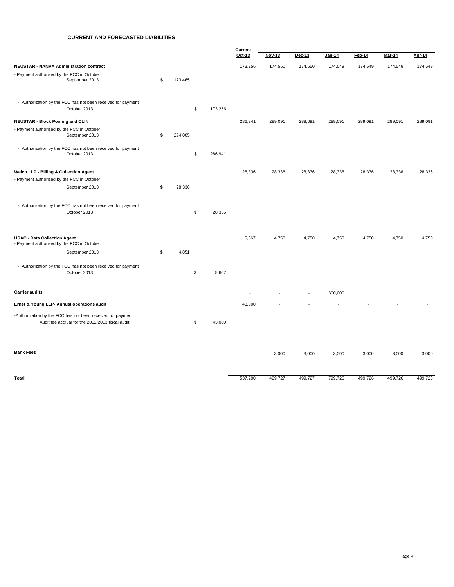#### **CURRENT AND FORECASTED LIABILITIES**

|                                                                                                                 |               |               | Current |         |                          |         |         |          |         |
|-----------------------------------------------------------------------------------------------------------------|---------------|---------------|---------|---------|--------------------------|---------|---------|----------|---------|
|                                                                                                                 |               |               | Oct-13  | Nov-13  | Dec-13                   | Jan-14  | Feb-14  | $Mar-14$ | Apr-14  |
| NEUSTAR - NANPA Administration contract                                                                         |               |               | 173,256 | 174,550 | 174,550                  | 174,549 | 174,549 | 174,549  | 174,549 |
| - Payment authorized by the FCC in October<br>September 2013                                                    | \$<br>173,465 |               |         |         |                          |         |         |          |         |
| - Authorization by the FCC has not been received for payment<br>October 2013                                    |               | \$<br>173,256 |         |         |                          |         |         |          |         |
| <b>NEUSTAR - Block Pooling and CLIN</b>                                                                         |               |               | 286,941 | 289,091 | 289,091                  | 289,091 | 289,091 | 289,091  | 289,091 |
| - Payment authorized by the FCC in October<br>September 2013                                                    | \$<br>294,005 |               |         |         |                          |         |         |          |         |
| - Authorization by the FCC has not been received for payment<br>October 2013                                    |               | \$<br>286,941 |         |         |                          |         |         |          |         |
| Welch LLP - Billing & Collection Agent                                                                          |               |               | 28,336  | 28,336  | 28,336                   | 28,336  | 28,336  | 28,336   | 28,336  |
| - Payment authorized by the FCC in October                                                                      |               |               |         |         |                          |         |         |          |         |
| September 2013                                                                                                  | \$<br>28,336  |               |         |         |                          |         |         |          |         |
| - Authorization by the FCC has not been received for payment<br>October 2013                                    |               | \$<br>28,336  |         |         |                          |         |         |          |         |
| <b>USAC - Data Collection Agent</b><br>- Payment authorized by the FCC in October                               |               |               | 5,667   | 4,750   | 4,750                    | 4,750   | 4,750   | 4,750    | 4,750   |
| September 2013                                                                                                  | \$<br>4,851   |               |         |         |                          |         |         |          |         |
| - Authorization by the FCC has not been received for payment<br>October 2013                                    |               | \$<br>5,667   |         |         |                          |         |         |          |         |
| <b>Carrier audits</b>                                                                                           |               |               | ä,      |         | $\overline{\phantom{a}}$ | 300,000 |         |          |         |
| Ernst & Young LLP- Annual operations audit                                                                      |               |               | 43,000  |         |                          |         |         |          |         |
| -Authorization by the FCC has not been received for payment<br>Audit fee accrual for the 2012/2013 fiscal audit |               | \$<br>43,000  |         |         |                          |         |         |          |         |
| <b>Bank Fees</b>                                                                                                |               |               |         | 3,000   | 3,000                    | 3,000   | 3,000   | 3,000    | 3,000   |
| <b>Total</b>                                                                                                    |               |               | 537,200 | 499,727 | 499,727                  | 799,726 | 499,726 | 499,726  | 499,726 |